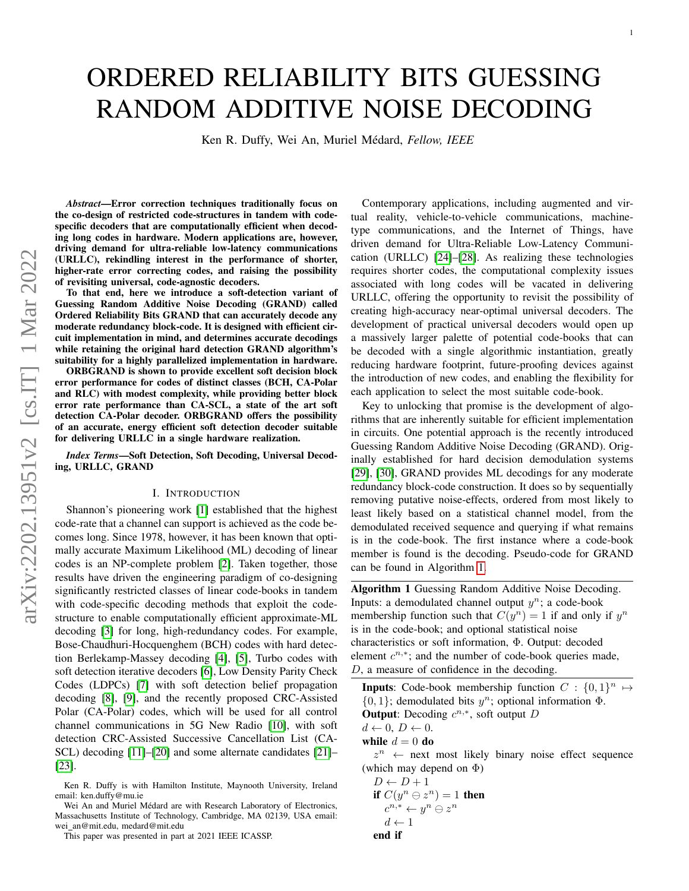# ORDERED RELIABILITY BITS GUESSING RANDOM ADDITIVE NOISE DECODING

Ken R. Duffy, Wei An, Muriel Médard, Fellow, IEEE

*Abstract*—Error correction techniques traditionally focus on the co-design of restricted code-structures in tandem with codespecific decoders that are computationally efficient when decoding long codes in hardware. Modern applications are, however, driving demand for ultra-reliable low-latency communications (URLLC), rekindling interest in the performance of shorter, higher-rate error correcting codes, and raising the possibility of revisiting universal, code-agnostic decoders.

To that end, here we introduce a soft-detection variant of Guessing Random Additive Noise Decoding (GRAND) called Ordered Reliability Bits GRAND that can accurately decode any moderate redundancy block-code. It is designed with efficient circuit implementation in mind, and determines accurate decodings while retaining the original hard detection GRAND algorithm's suitability for a highly parallelized implementation in hardware.

ORBGRAND is shown to provide excellent soft decision block error performance for codes of distinct classes (BCH, CA-Polar and RLC) with modest complexity, while providing better block error rate performance than CA-SCL, a state of the art soft detection CA-Polar decoder. ORBGRAND offers the possibility of an accurate, energy efficient soft detection decoder suitable for delivering URLLC in a single hardware realization.

*Index Terms*—Soft Detection, Soft Decoding, Universal Decoding, URLLC, GRAND

### I. INTRODUCTION

Shannon's pioneering work [\[1\]](#page-10-0) established that the highest code-rate that a channel can support is achieved as the code becomes long. Since 1978, however, it has been known that optimally accurate Maximum Likelihood (ML) decoding of linear codes is an NP-complete problem [\[2\]](#page-10-1). Taken together, those results have driven the engineering paradigm of co-designing significantly restricted classes of linear code-books in tandem with code-specific decoding methods that exploit the codestructure to enable computationally efficient approximate-ML decoding [\[3\]](#page-10-2) for long, high-redundancy codes. For example, Bose-Chaudhuri-Hocquenghem (BCH) codes with hard detection Berlekamp-Massey decoding [\[4\]](#page-10-3), [\[5\]](#page-10-4), Turbo codes with soft detection iterative decoders [\[6\]](#page-10-5), Low Density Parity Check Codes (LDPCs) [\[7\]](#page-10-6) with soft detection belief propagation decoding [\[8\]](#page-10-7), [\[9\]](#page-10-8), and the recently proposed CRC-Assisted Polar (CA-Polar) codes, which will be used for all control channel communications in 5G New Radio [\[10\]](#page-10-9), with soft detection CRC-Assisted Successive Cancellation List (CA-SCL) decoding [\[11\]](#page-10-10)–[\[20\]](#page-10-11) and some alternate candidates [\[21\]](#page-10-12)– [\[23\]](#page-10-13).

Contemporary applications, including augmented and virtual reality, vehicle-to-vehicle communications, machinetype communications, and the Internet of Things, have driven demand for Ultra-Reliable Low-Latency Communication (URLLC) [\[24\]](#page-10-14)–[\[28\]](#page-11-0). As realizing these technologies requires shorter codes, the computational complexity issues associated with long codes will be vacated in delivering URLLC, offering the opportunity to revisit the possibility of creating high-accuracy near-optimal universal decoders. The development of practical universal decoders would open up a massively larger palette of potential code-books that can be decoded with a single algorithmic instantiation, greatly reducing hardware footprint, future-proofing devices against the introduction of new codes, and enabling the flexibility for each application to select the most suitable code-book.

Key to unlocking that promise is the development of algorithms that are inherently suitable for efficient implementation in circuits. One potential approach is the recently introduced Guessing Random Additive Noise Decoding (GRAND). Originally established for hard decision demodulation systems [\[29\]](#page-11-1), [\[30\]](#page-11-2), GRAND provides ML decodings for any moderate redundancy block-code construction. It does so by sequentially removing putative noise-effects, ordered from most likely to least likely based on a statistical channel model, from the demodulated received sequence and querying if what remains is in the code-book. The first instance where a code-book member is found is the decoding. Pseudo-code for GRAND can be found in Algorithm [1.](#page-0-0)

<span id="page-0-0"></span>Algorithm 1 Guessing Random Additive Noise Decoding. Inputs: a demodulated channel output  $y^n$ ; a code-book membership function such that  $C(y^n) = 1$  if and only if  $y^n$ is in the code-book; and optional statistical noise characteristics or soft information, Φ. Output: decoded element  $c^{n,*}$ ; and the number of code-book queries made, D, a measure of confidence in the decoding.

**Inputs:** Code-book membership function  $C : \{0,1\}^n \mapsto$  $\{0, 1\}$ ; demodulated bits  $y^n$ ; optional information  $\Phi$ . **Output:** Decoding  $c^{n,*}$ , soft output D  $d \leftarrow 0, D \leftarrow 0.$ 

while  $d = 0$  do

 $z^n$   $\leftarrow$  next most likely binary noise effect sequence (which may depend on  $\Phi$ )

$$
D \leftarrow D + 1
$$
  
if  $C(y^n \ominus z^n) = 1$  then  

$$
c^{n,*} \leftarrow y^n \ominus z^n
$$

$$
d \leftarrow 1
$$
  
end if

Ken R. Duffy is with Hamilton Institute, Maynooth University, Ireland email: ken.duffy@mu.ie

Wei An and Muriel Médard are with Research Laboratory of Electronics, Massachusetts Institute of Technology, Cambridge, MA 02139, USA email: wei an@mit.edu, medard@mit.edu

This paper was presented in part at 2021 IEEE ICASSP.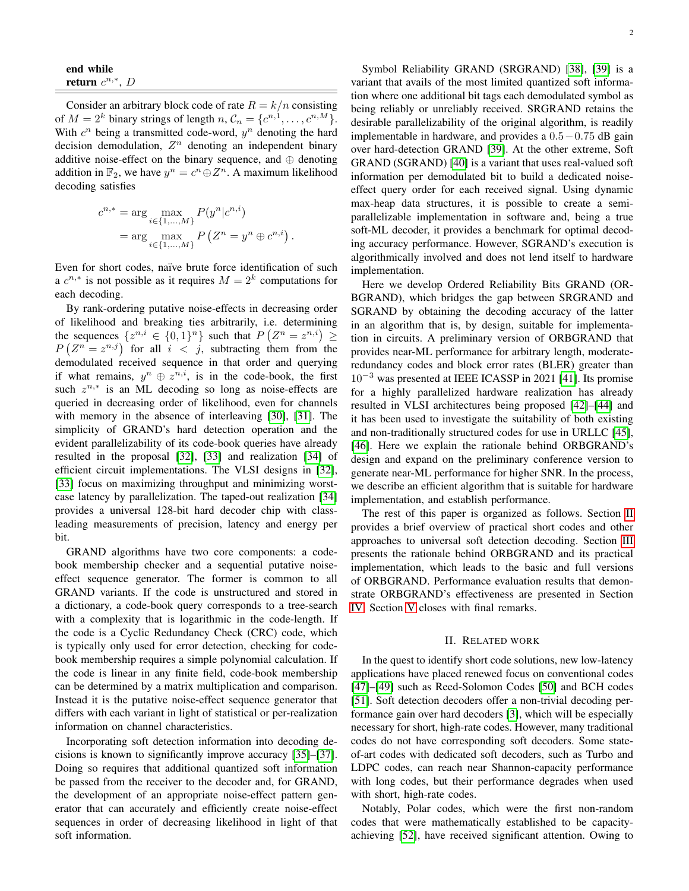| end while            |  |  |
|----------------------|--|--|
| return $c^{n,*}$ , D |  |  |

Consider an arbitrary block code of rate  $R = k/n$  consisting of  $M = 2^k$  binary strings of length  $n, \mathcal{C}_n = \{c^{n,1}, \dots, c^{n,M}\}.$ With  $c^n$  being a transmitted code-word,  $y^n$  denoting the hard decision demodulation,  $Z<sup>n</sup>$  denoting an independent binary additive noise-effect on the binary sequence, and ⊕ denoting addition in  $\mathbb{F}_2$ , we have  $y^n = c^n \oplus Z^n$ . A maximum likelihood decoding satisfies

$$
c^{n,*} = \arg \max_{i \in \{1, ..., M\}} P(y^n | c^{n,i})
$$

$$
= \arg \max_{i \in \{1, ..., M\}} P(Z^n = y^n \oplus c^{n,i})
$$

.

Even for short codes, naïve brute force identification of such a  $c^{n,*}$  is not possible as it requires  $M = 2^k$  computations for each decoding.

By rank-ordering putative noise-effects in decreasing order of likelihood and breaking ties arbitrarily, i.e. determining the sequences  $\{z^{n,i} \in \{0,1\}^n\}$  such that  $P(Z^n = z^{n,i}) \ge$  $P(Z^n = z^{n,j})$  for all  $i < j$ , subtracting them from the demodulated received sequence in that order and querying if what remains,  $y^n \oplus z^{n,i}$ , is in the code-book, the first such  $z^{n,*}$  is an ML decoding so long as noise-effects are queried in decreasing order of likelihood, even for channels with memory in the absence of interleaving [\[30\]](#page-11-2), [\[31\]](#page-11-3). The simplicity of GRAND's hard detection operation and the evident parallelizability of its code-book queries have already resulted in the proposal [\[32\]](#page-11-4), [\[33\]](#page-11-5) and realization [\[34\]](#page-11-6) of efficient circuit implementations. The VLSI designs in [\[32\]](#page-11-4), [\[33\]](#page-11-5) focus on maximizing throughput and minimizing worstcase latency by parallelization. The taped-out realization [\[34\]](#page-11-6) provides a universal 128-bit hard decoder chip with classleading measurements of precision, latency and energy per bit.

GRAND algorithms have two core components: a codebook membership checker and a sequential putative noiseeffect sequence generator. The former is common to all GRAND variants. If the code is unstructured and stored in a dictionary, a code-book query corresponds to a tree-search with a complexity that is logarithmic in the code-length. If the code is a Cyclic Redundancy Check (CRC) code, which is typically only used for error detection, checking for codebook membership requires a simple polynomial calculation. If the code is linear in any finite field, code-book membership can be determined by a matrix multiplication and comparison. Instead it is the putative noise-effect sequence generator that differs with each variant in light of statistical or per-realization information on channel characteristics.

Incorporating soft detection information into decoding decisions is known to significantly improve accuracy [\[35\]](#page-11-7)–[\[37\]](#page-11-8). Doing so requires that additional quantized soft information be passed from the receiver to the decoder and, for GRAND, the development of an appropriate noise-effect pattern generator that can accurately and efficiently create noise-effect sequences in order of decreasing likelihood in light of that soft information.

Symbol Reliability GRAND (SRGRAND) [\[38\]](#page-11-9), [\[39\]](#page-11-10) is a variant that avails of the most limited quantized soft information where one additional bit tags each demodulated symbol as being reliably or unreliably received. SRGRAND retains the desirable parallelizability of the original algorithm, is readily implementable in hardware, and provides a 0.5−0.75 dB gain over hard-detection GRAND [\[39\]](#page-11-10). At the other extreme, Soft GRAND (SGRAND) [\[40\]](#page-11-11) is a variant that uses real-valued soft information per demodulated bit to build a dedicated noiseeffect query order for each received signal. Using dynamic max-heap data structures, it is possible to create a semiparallelizable implementation in software and, being a true soft-ML decoder, it provides a benchmark for optimal decoding accuracy performance. However, SGRAND's execution is algorithmically involved and does not lend itself to hardware implementation.

Here we develop Ordered Reliability Bits GRAND (OR-BGRAND), which bridges the gap between SRGRAND and SGRAND by obtaining the decoding accuracy of the latter in an algorithm that is, by design, suitable for implementation in circuits. A preliminary version of ORBGRAND that provides near-ML performance for arbitrary length, moderateredundancy codes and block error rates (BLER) greater than 10<sup>−</sup><sup>3</sup> was presented at IEEE ICASSP in 2021 [\[41\]](#page-11-12). Its promise for a highly parallelized hardware realization has already resulted in VLSI architectures being proposed [\[42\]](#page-11-13)–[\[44\]](#page-11-14) and it has been used to investigate the suitability of both existing and non-traditionally structured codes for use in URLLC [\[45\]](#page-11-15), [\[46\]](#page-11-16). Here we explain the rationale behind ORBGRAND's design and expand on the preliminary conference version to generate near-ML performance for higher SNR. In the process, we describe an efficient algorithm that is suitable for hardware implementation, and establish performance.

The rest of this paper is organized as follows. Section [II](#page-1-0) provides a brief overview of practical short codes and other approaches to universal soft detection decoding. Section [III](#page-2-0) presents the rationale behind ORBGRAND and its practical implementation, which leads to the basic and full versions of ORBGRAND. Performance evaluation results that demonstrate ORBGRAND's effectiveness are presented in Section [IV.](#page-8-0) Section [V](#page-9-0) closes with final remarks.

#### II. RELATED WORK

<span id="page-1-0"></span>In the quest to identify short code solutions, new low-latency applications have placed renewed focus on conventional codes [\[47\]](#page-11-17)–[\[49\]](#page-11-18) such as Reed-Solomon Codes [\[50\]](#page-11-19) and BCH codes [\[51\]](#page-11-20). Soft detection decoders offer a non-trivial decoding performance gain over hard decoders [\[3\]](#page-10-2), which will be especially necessary for short, high-rate codes. However, many traditional codes do not have corresponding soft decoders. Some stateof-art codes with dedicated soft decoders, such as Turbo and LDPC codes, can reach near Shannon-capacity performance with long codes, but their performance degrades when used with short, high-rate codes.

Notably, Polar codes, which were the first non-random codes that were mathematically established to be capacityachieving [\[52\]](#page-11-21), have received significant attention. Owing to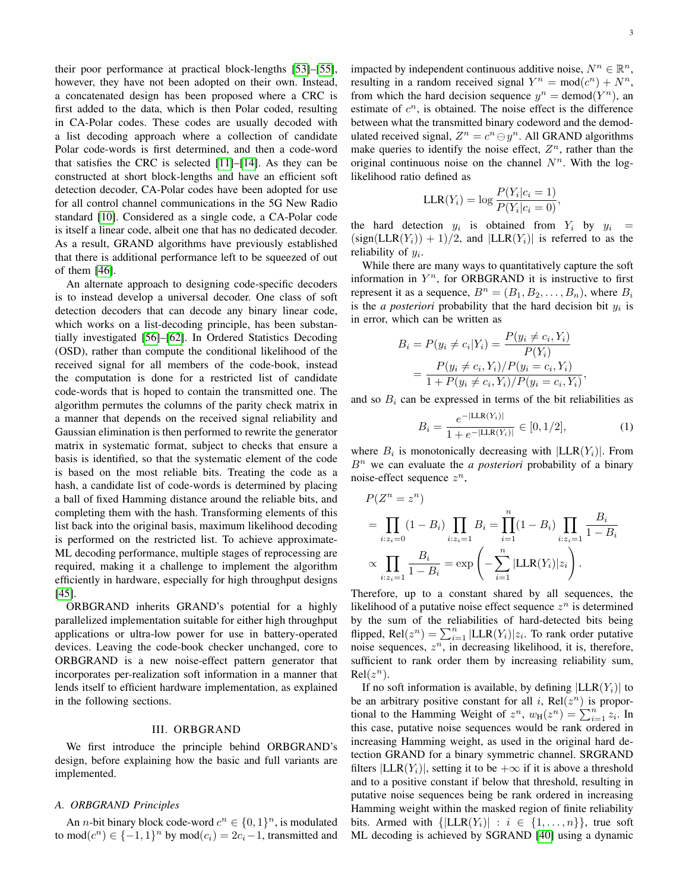their poor performance at practical block-lengths [\[53\]](#page-11-22)–[\[55\]](#page-11-23), however, they have not been adopted on their own. Instead, a concatenated design has been proposed where a CRC is first added to the data, which is then Polar coded, resulting in CA-Polar codes. These codes are usually decoded with a list decoding approach where a collection of candidate Polar code-words is first determined, and then a code-word that satisfies the CRC is selected [\[11\]](#page-10-10)–[\[14\]](#page-10-15). As they can be constructed at short block-lengths and have an efficient soft detection decoder, CA-Polar codes have been adopted for use for all control channel communications in the 5G New Radio standard [\[10\]](#page-10-9). Considered as a single code, a CA-Polar code is itself a linear code, albeit one that has no dedicated decoder. As a result, GRAND algorithms have previously established that there is additional performance left to be squeezed of out of them [\[46\]](#page-11-16).

An alternate approach to designing code-specific decoders is to instead develop a universal decoder. One class of soft detection decoders that can decode any binary linear code, which works on a list-decoding principle, has been substantially investigated [\[56\]](#page-11-24)–[\[62\]](#page-11-25). In Ordered Statistics Decoding (OSD), rather than compute the conditional likelihood of the received signal for all members of the code-book, instead the computation is done for a restricted list of candidate code-words that is hoped to contain the transmitted one. The algorithm permutes the columns of the parity check matrix in a manner that depends on the received signal reliability and Gaussian elimination is then performed to rewrite the generator matrix in systematic format, subject to checks that ensure a basis is identified, so that the systematic element of the code is based on the most reliable bits. Treating the code as a hash, a candidate list of code-words is determined by placing a ball of fixed Hamming distance around the reliable bits, and completing them with the hash. Transforming elements of this list back into the original basis, maximum likelihood decoding is performed on the restricted list. To achieve approximate-ML decoding performance, multiple stages of reprocessing are required, making it a challenge to implement the algorithm efficiently in hardware, especially for high throughput designs [\[45\]](#page-11-15).

ORBGRAND inherits GRAND's potential for a highly parallelized implementation suitable for either high throughput applications or ultra-low power for use in battery-operated devices. Leaving the code-book checker unchanged, core to ORBGRAND is a new noise-effect pattern generator that incorporates per-realization soft information in a manner that lends itself to efficient hardware implementation, as explained in the following sections.

### III. ORBGRAND

<span id="page-2-0"></span>We first introduce the principle behind ORBGRAND's design, before explaining how the basic and full variants are implemented.

# *A. ORBGRAND Principles*

An *n*-bit binary block code-word  $c^n \in \{0, 1\}^n$ , is modulated to mod $(c^n) \in \{-1, 1\}^n$  by mod $(c_i) = 2c_i - 1$ , transmitted and

impacted by independent continuous additive noise,  $N^n \in \mathbb{R}^n$ , resulting in a random received signal  $Y^n = \text{mod}(c^n) + N^n$ , from which the hard decision sequence  $y^n = \text{demod}(Y^n)$ , an estimate of  $c^n$ , is obtained. The noise effect is the difference between what the transmitted binary codeword and the demodulated received signal,  $Z^n = c^n \ominus y^n$ . All GRAND algorithms make queries to identify the noise effect,  $Z<sup>n</sup>$ , rather than the original continuous noise on the channel  $N<sup>n</sup>$ . With the loglikelihood ratio defined as

$$
\text{LLR}(Y_i) = \log \frac{P(Y_i|c_i = 1)}{P(Y_i|c_i = 0)},
$$

the hard detection  $y_i$  is obtained from  $Y_i$  by  $y_i =$  $(\text{sign}(LLR(Y_i))+1)/2$ , and  $|LLR(Y_i)|$  is referred to as the reliability of  $y_i$ .

While there are many ways to quantitatively capture the soft information in  $Y^n$ , for ORBGRAND it is instructive to first represent it as a sequence,  $B^n = (B_1, B_2, \ldots, B_n)$ , where  $B_i$ is the *a posteriori* probability that the hard decision bit  $y_i$  is in error, which can be written as

$$
B_i = P(y_i \neq c_i | Y_i) = \frac{P(y_i \neq c_i, Y_i)}{P(Y_i)}
$$
  
= 
$$
\frac{P(y_i \neq c_i, Y_i)/P(y_i = c_i, Y_i)}{1 + P(y_i \neq c_i, Y_i)/P(y_i = c_i, Y_i)}
$$

and so  $B_i$  can be expressed in terms of the bit reliabilities as

$$
B_i = \frac{e^{-|\text{LLR}(Y_i)|}}{1 + e^{-|\text{LLR}(Y_i)|}} \in [0, 1/2],
$$
 (1)

,

where  $B_i$  is monotonically decreasing with  $|LLR(Y_i)|$ . From  $B<sup>n</sup>$  we can evaluate the *a posteriori* probability of a binary noise-effect sequence  $z^n$ ,

$$
P(Z^{n} = z^{n})
$$
  
=  $\prod_{i:z_{i}=0} (1 - B_{i}) \prod_{i:z_{i}=1} B_{i} = \prod_{i=1}^{n} (1 - B_{i}) \prod_{i:z_{i}=1} \frac{B_{i}}{1 - B_{i}}$   
 $\propto \prod_{i:z_{i}=1} \frac{B_{i}}{1 - B_{i}} = \exp\left(-\sum_{i=1}^{n} |\text{LLR}(Y_{i})|z_{i}\right).$ 

Therefore, up to a constant shared by all sequences, the likelihood of a putative noise effect sequence  $z^n$  is determined by the sum of the reliabilities of hard-detected bits being flipped,  $\text{Rel}(z^n) = \sum_{i=1}^n |\text{LLR}(Y_i)| z_i$ . To rank order putative noise sequences,  $z^n$ , in decreasing likelihood, it is, therefore, sufficient to rank order them by increasing reliability sum,  $Rel(z^n)$ .

If no soft information is available, by defining  $|LLR(Y_i)|$  to be an arbitrary positive constant for all i,  $Rel(z^n)$  is proportional to the Hamming Weight of  $z^n$ ,  $w_H(z^n) = \sum_{i=1}^n z_i$ . In this case, putative noise sequences would be rank ordered in increasing Hamming weight, as used in the original hard detection GRAND for a binary symmetric channel. SRGRAND filters  $|LLR(Y_i)|$ , setting it to be  $+\infty$  if it is above a threshold and to a positive constant if below that threshold, resulting in putative noise sequences being be rank ordered in increasing Hamming weight within the masked region of finite reliability bits. Armed with  $\{|LLR(Y_i)| : i \in \{1, ..., n\}\}\$ , true soft ML decoding is achieved by SGRAND [\[40\]](#page-11-11) using a dynamic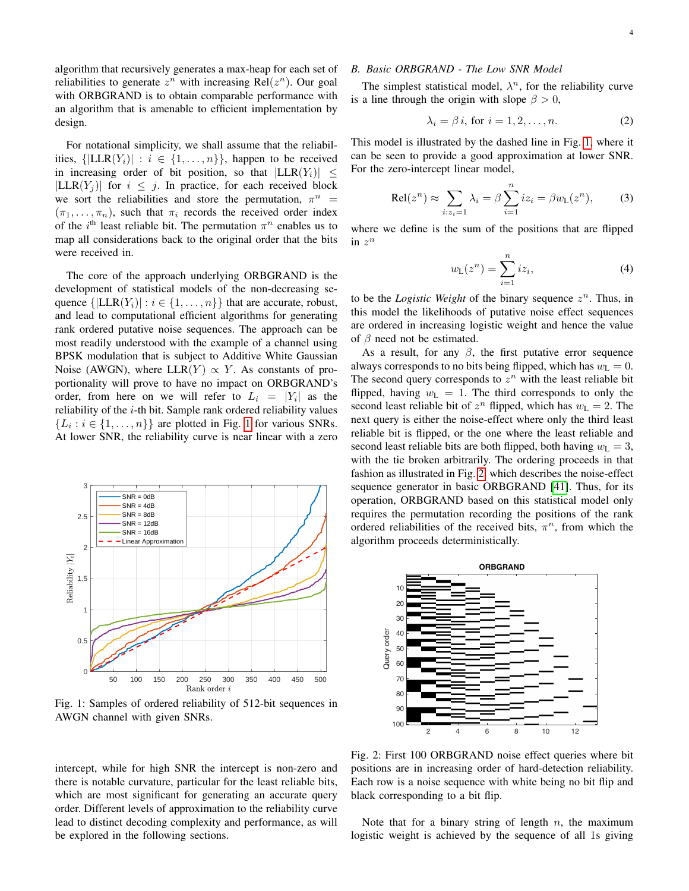algorithm that recursively generates a max-heap for each set of reliabilities to generate  $z^n$  with increasing Rel $(z^n)$ . Our goal with ORBGRAND is to obtain comparable performance with an algorithm that is amenable to efficient implementation by design.

For notational simplicity, we shall assume that the reliabilities,  $\{|LLR(Y_i)| : i \in \{1, ..., n\}\}\$ , happen to be received in increasing order of bit position, so that  $|LLR(Y_i)| \leq$  $|LLR(Y_i)|$  for  $i \leq j$ . In practice, for each received block we sort the reliabilities and store the permutation,  $\pi^n$  =  $(\pi_1, \ldots, \pi_n)$ , such that  $\pi_i$  records the received order index of the i<sup>th</sup> least reliable bit. The permutation  $\pi^n$  enables us to map all considerations back to the original order that the bits were received in.

The core of the approach underlying ORBGRAND is the development of statistical models of the non-decreasing sequence  $\{|LLR(Y_i)| : i \in \{1, ..., n\}\}\$  that are accurate, robust, and lead to computational efficient algorithms for generating rank ordered putative noise sequences. The approach can be most readily understood with the example of a channel using BPSK modulation that is subject to Additive White Gaussian Noise (AWGN), where  $LLR(Y) \propto Y$ . As constants of proportionality will prove to have no impact on ORBGRAND's order, from here on we will refer to  $L_i = |Y_i|$  as the reliability of the  $i$ -th bit. Sample rank ordered reliability values  $\{L_i : i \in \{1, \ldots, n\}\}\$ are plotted in Fig. [1](#page-3-0) for various SNRs. At lower SNR, the reliability curve is near linear with a zero

<span id="page-3-0"></span>

Fig. 1: Samples of ordered reliability of 512-bit sequences in AWGN channel with given SNRs.

intercept, while for high SNR the intercept is non-zero and there is notable curvature, particular for the least reliable bits, which are most significant for generating an accurate query order. Different levels of approximation to the reliability curve lead to distinct decoding complexity and performance, as will be explored in the following sections.

# *B. Basic ORBGRAND - The Low SNR Model*

The simplest statistical model,  $\lambda^n$ , for the reliability curve is a line through the origin with slope  $\beta > 0$ ,

<span id="page-3-2"></span>
$$
\lambda_i = \beta i, \text{ for } i = 1, 2, \dots, n. \tag{2}
$$

This model is illustrated by the dashed line in Fig. [1,](#page-3-0) where it can be seen to provide a good approximation at lower SNR. For the zero-intercept linear model,

$$
\text{Rel}(z^n) \approx \sum_{i:z_i=1} \lambda_i = \beta \sum_{i=1}^n iz_i = \beta w_\text{L}(z^n),\tag{3}
$$

where we define is the sum of the positions that are flipped in  $z^n$ 

$$
w_{\mathcal{L}}(z^n) = \sum_{i=1}^n iz_i,
$$
 (4)

to be the *Logistic Weight* of the binary sequence  $z^n$ . Thus, in this model the likelihoods of putative noise effect sequences are ordered in increasing logistic weight and hence the value of  $\beta$  need not be estimated.

As a result, for any  $\beta$ , the first putative error sequence always corresponds to no bits being flipped, which has  $w_L = 0$ . The second query corresponds to  $z^n$  with the least reliable bit flipped, having  $w_L = 1$ . The third corresponds to only the second least reliable bit of  $z^n$  flipped, which has  $w_L = 2$ . The next query is either the noise-effect where only the third least reliable bit is flipped, or the one where the least reliable and second least reliable bits are both flipped, both having  $w_L = 3$ , with the tie broken arbitrarily. The ordering proceeds in that fashion as illustrated in Fig. [2,](#page-3-1) which describes the noise-effect sequence generator in basic ORBGRAND [\[41\]](#page-11-12). Thus, for its operation, ORBGRAND based on this statistical model only requires the permutation recording the positions of the rank ordered reliabilities of the received bits,  $\pi^n$ , from which the algorithm proceeds deterministically.

<span id="page-3-1"></span>

Fig. 2: First 100 ORBGRAND noise effect queries where bit positions are in increasing order of hard-detection reliability. Each row is a noise sequence with white being no bit flip and black corresponding to a bit flip.

Note that for a binary string of length  $n$ , the maximum logistic weight is achieved by the sequence of all 1s giving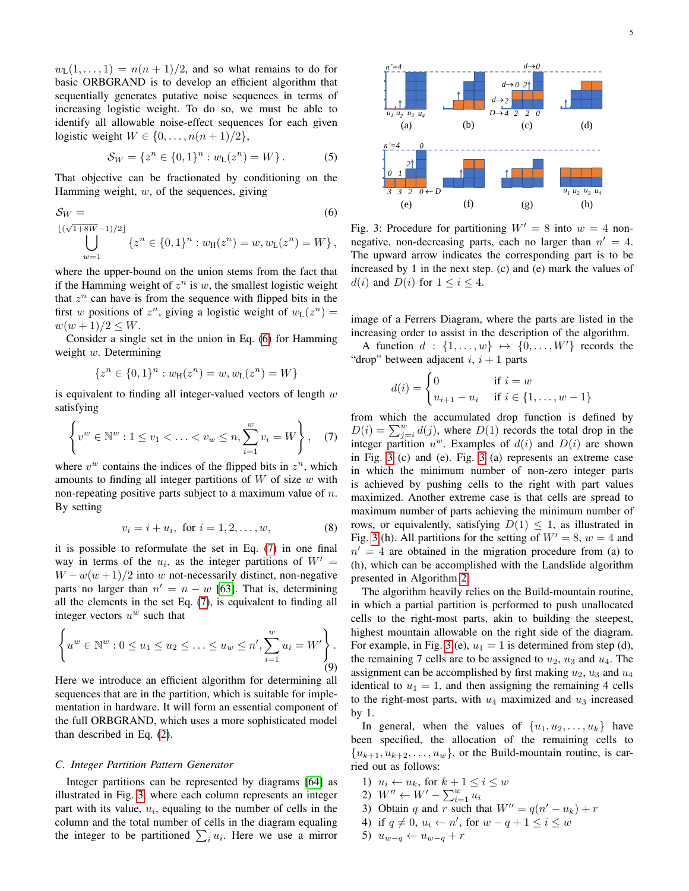$w_L(1,\ldots,1) = n(n+1)/2$ , and so what remains to do for basic ORBGRAND is to develop an efficient algorithm that sequentially generates putative noise sequences in terms of increasing logistic weight. To do so, we must be able to identify all allowable noise-effect sequences for each given logistic weight  $W \in \{0, \ldots, n(n+1)/2\},\$ 

$$
S_W = \{ z^n \in \{0, 1\}^n : w_L(z^n) = W \}.
$$
 (5)

That objective can be fractionated by conditioning on the Hamming weight,  $w$ , of the sequences, giving

$$
S_W =
$$
\n
$$
\bigcup_{w=1}^{\lfloor (\sqrt{1+8W}-1)/2 \rfloor} \{ z^n \in \{0,1\}^n : w_H(z^n) = w, w_L(z^n) = W \},
$$
\n
$$
(6)
$$

where the upper-bound on the union stems from the fact that if the Hamming weight of  $z^n$  is w, the smallest logistic weight that  $z^n$  can have is from the sequence with flipped bits in the first w positions of  $z^n$ , giving a logistic weight of  $w_L(z^n) =$  $w(w+1)/2 \leq W$ .

Consider a single set in the union in Eq. [\(6\)](#page-4-0) for Hamming weight  $w$ . Determining

$$
\{z^n \in \{0,1\}^n : w_{\tt H}(z^n) = w, w_{\tt L}(z^n) = W\}
$$

is equivalent to finding all integer-valued vectors of length  $w$ satisfying

$$
\left\{ v^w \in \mathbb{N}^w : 1 \le v_1 < \ldots < v_w \le n, \sum_{i=1}^w v_i = W \right\}, \quad (7)
$$

where  $v^w$  contains the indices of the flipped bits in  $z^n$ , which amounts to finding all integer partitions of  $W$  of size  $w$  with non-repeating positive parts subject to a maximum value of  $n$ . By setting

$$
v_i = i + u_i, \text{ for } i = 1, 2, ..., w,
$$
 (8)

it is possible to reformulate the set in Eq. [\(7\)](#page-4-1) in one final way in terms of the  $u_i$ , as the integer partitions of  $W' =$  $W - w(w + 1)/2$  into w not-necessarily distinct, non-negative parts no larger than  $n' = n - w$  [\[63\]](#page-11-26). That is, determining all the elements in the set Eq. [\(7\)](#page-4-1), is equivalent to finding all integer vectors  $u^w$  such that

$$
\left\{ u^w \in \mathbb{N}^w : 0 \le u_1 \le u_2 \le \ldots \le u_w \le n', \sum_{i=1}^w u_i = W' \right\}.
$$
\n(9)

Here we introduce an efficient algorithm for determining all sequences that are in the partition, which is suitable for implementation in hardware. It will form an essential component of the full ORBGRAND, which uses a more sophisticated model than described in Eq. [\(2\)](#page-3-2).

#### <span id="page-4-4"></span>*C. Integer Partition Pattern Generator*

Integer partitions can be represented by diagrams [\[64\]](#page-11-27) as illustrated in Fig. [3,](#page-4-2) where each column represents an integer part with its value,  $u_i$ , equaling to the number of cells in the column and the total number of cells in the diagram equaling the integer to be partitioned  $\sum_i u_i$ . Here we use a mirror

<span id="page-4-2"></span>

<span id="page-4-0"></span>Fig. 3: Procedure for partitioning  $W' = 8$  into  $w = 4$  nonnegative, non-decreasing parts, each no larger than  $n' = 4$ . The upward arrow indicates the corresponding part is to be increased by 1 in the next step. (c) and (e) mark the values of  $d(i)$  and  $D(i)$  for  $1 \leq i \leq 4$ .

image of a Ferrers Diagram, where the parts are listed in the increasing order to assist in the description of the algorithm.

A function  $d : \{1, \ldots, w\} \mapsto \{0, \ldots, W'\}$  records the "drop" between adjacent  $i, i + 1$  parts

$$
d(i) = \begin{cases} 0 & \text{if } i = w \\ u_{i+1} - u_i & \text{if } i \in \{1, ..., w - 1\} \end{cases}
$$

<span id="page-4-1"></span>from which the accumulated drop function is defined by  $D(i) = \sum_{j=i}^{w} d(j)$ , where  $D(1)$  records the total drop in the integer partition  $u^w$ . Examples of  $d(i)$  and  $D(i)$  are shown in Fig. [3](#page-4-2) (c) and (e). Fig. [3](#page-4-2) (a) represents an extreme case in which the minimum number of non-zero integer parts is achieved by pushing cells to the right with part values maximized. Another extreme case is that cells are spread to maximum number of parts achieving the minimum number of rows, or equivalently, satisfying  $D(1) \leq 1$ , as illustrated in Fig. [3](#page-4-2) (h). All partitions for the setting of  $W' = 8$ ,  $w = 4$  and  $n' = 4$  are obtained in the migration procedure from (a) to (h), which can be accomplished with the Landslide algorithm presented in Algorithm [2.](#page-5-0)

<span id="page-4-3"></span>The algorithm heavily relies on the Build-mountain routine, in which a partial partition is performed to push unallocated cells to the right-most parts, akin to building the steepest, highest mountain allowable on the right side of the diagram. For example, in Fig. [3](#page-4-2) (e),  $u_1 = 1$  is determined from step (d), the remaining 7 cells are to be assigned to  $u_2$ ,  $u_3$  and  $u_4$ . The assignment can be accomplished by first making  $u_2$ ,  $u_3$  and  $u_4$ identical to  $u_1 = 1$ , and then assigning the remaining 4 cells to the right-most parts, with  $u_4$  maximized and  $u_3$  increased by 1.

In general, when the values of  $\{u_1, u_2, \ldots, u_k\}$  have been specified, the allocation of the remaining cells to  ${u_{k+1}, u_{k+2}, \ldots, u_w}$ , or the Build-mountain routine, is carried out as follows:

1)  $u_i \leftarrow u_k$ , for  $k+1 \leq i \leq w$ 

$$
2) W'' \leftarrow W' - \sum_{i=1}^{w} u_i
$$

- 3) Obtain q and r such that  $W'' = q(n'-u_k) + r$
- 4) if  $q \neq 0$ ,  $u_i \leftarrow n'$ , for  $w q + 1 \leq i \leq w$
- 5)  $u_{w-q} \leftarrow u_{w-q} + r$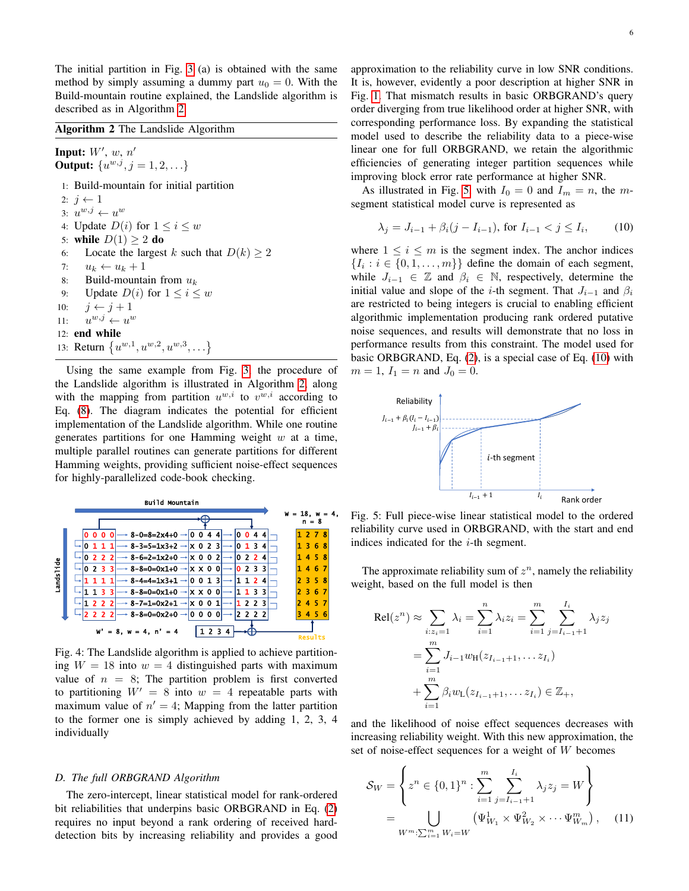The initial partition in Fig. [3](#page-4-2) (a) is obtained with the same method by simply assuming a dummy part  $u_0 = 0$ . With the Build-mountain routine explained, the Landslide algorithm is described as in Algorithm [2.](#page-5-0)

#### <span id="page-5-0"></span>Algorithm 2 The Landslide Algorithm

Input:  $W'$ ,  $w$ ,  $n'$ **Output:**  $\{u^{w,j}, j = 1, 2, ...\}$ 1: Build-mountain for initial partition 2:  $i \leftarrow 1$ 3:  $u^{w,j} \leftarrow u^w$ 4: Update  $D(i)$  for  $1 \leq i \leq w$ 5: while  $D(1) \geq 2$  do 6: Locate the largest k such that  $D(k) \ge 2$ 7:  $u_k \leftarrow u_k + 1$ 8: Build-mountain from  $u_k$ 9: Update  $D(i)$  for  $1 \leq i \leq w$ 10:  $j \leftarrow j + 1$  $11:$  $^{w,j} \leftarrow u^w$ 12: end while 13: Return  $\{u^{w,1}, u^{w,2}, u^{w,3}, \ldots\}$ 

Using the same example from Fig. [3,](#page-4-2) the procedure of the Landslide algorithm is illustrated in Algorithm [2,](#page-5-0) along with the mapping from partition  $u^{w,i}$  to  $v^{w,i}$  according to Eq. [\(8\)](#page-4-3). The diagram indicates the potential for efficient implementation of the Landslide algorithm. While one routine generates partitions for one Hamming weight  $w$  at a time, multiple parallel routines can generate partitions for different Hamming weights, providing sufficient noise-effect sequences for highly-parallelized code-book checking.



Fig. 4: The Landslide algorithm is applied to achieve partitioning  $W = 18$  into  $w = 4$  distinguished parts with maximum value of  $n = 8$ ; The partition problem is first converted to partitioning  $W' = 8$  into  $w = 4$  repeatable parts with maximum value of  $n' = 4$ ; Mapping from the latter partition to the former one is simply achieved by adding 1, 2, 3, 4 individually

## <span id="page-5-4"></span>*D. The full ORBGRAND Algorithm*

The zero-intercept, linear statistical model for rank-ordered bit reliabilities that underpins basic ORBGRAND in Eq. [\(2\)](#page-3-2) requires no input beyond a rank ordering of received harddetection bits by increasing reliability and provides a good approximation to the reliability curve in low SNR conditions. It is, however, evidently a poor description at higher SNR in Fig. [1.](#page-3-0) That mismatch results in basic ORBGRAND's query order diverging from true likelihood order at higher SNR, with corresponding performance loss. By expanding the statistical model used to describe the reliability data to a piece-wise linear one for full ORBGRAND, we retain the algorithmic efficiencies of generating integer partition sequences while improving block error rate performance at higher SNR.

As illustrated in Fig. [5,](#page-5-1) with  $I_0 = 0$  and  $I_m = n$ , the msegment statistical model curve is represented as

<span id="page-5-2"></span>
$$
\lambda_j = J_{i-1} + \beta_i (j - I_{i-1}), \text{ for } I_{i-1} < j \le I_i,\tag{10}
$$

where  $1 \leq i \leq m$  is the segment index. The anchor indices  $\{I_i : i \in \{0, 1, \dots, m\}\}\$  define the domain of each segment, while  $J_{i-1} \in \mathbb{Z}$  and  $\beta_i \in \mathbb{N}$ , respectively, determine the initial value and slope of the *i*-th segment. That  $J_{i-1}$  and  $\beta_i$ are restricted to being integers is crucial to enabling efficient algorithmic implementation producing rank ordered putative noise sequences, and results will demonstrate that no loss in performance results from this constraint. The model used for basic ORBGRAND, Eq. [\(2\)](#page-3-2), is a special case of Eq. [\(10\)](#page-5-2) with  $m = 1, I_1 = n$  and  $J_0 = 0$ .

<span id="page-5-1"></span>

Fig. 5: Full piece-wise linear statistical model to the ordered reliability curve used in ORBGRAND, with the start and end indices indicated for the  $i$ -th segment.

The approximate reliability sum of  $z^n$ , namely the reliability weight, based on the full model is then

$$
\text{Rel}(z^n) \approx \sum_{i:z_i=1} \lambda_i = \sum_{i=1}^n \lambda_i z_i = \sum_{i=1}^m \sum_{j=I_{i-1}+1}^{I_i} \lambda_j z_j
$$
  
= 
$$
\sum_{i=1}^m J_{i-1} w_{\text{H}}(z_{I_{i-1}+1}, \dots z_{I_i})
$$
  
+ 
$$
\sum_{i=1}^m \beta_i w_{\text{L}}(z_{I_{i-1}+1}, \dots z_{I_i}) \in \mathbb{Z}_+,
$$

and the likelihood of noise effect sequences decreases with increasing reliability weight. With this new approximation, the set of noise-effect sequences for a weight of W becomes

<span id="page-5-3"></span>
$$
\mathcal{S}_W = \left\{ z^n \in \{0, 1\}^n : \sum_{i=1}^m \sum_{j=I_{i-1}+1}^{I_i} \lambda_j z_j = W \right\}
$$
  
= 
$$
\bigcup_{W^m: \sum_{i=1}^m W_i = W} (\Psi^1_{W_1} \times \Psi^2_{W_2} \times \cdots \Psi^m_{W_m}), \quad (11)
$$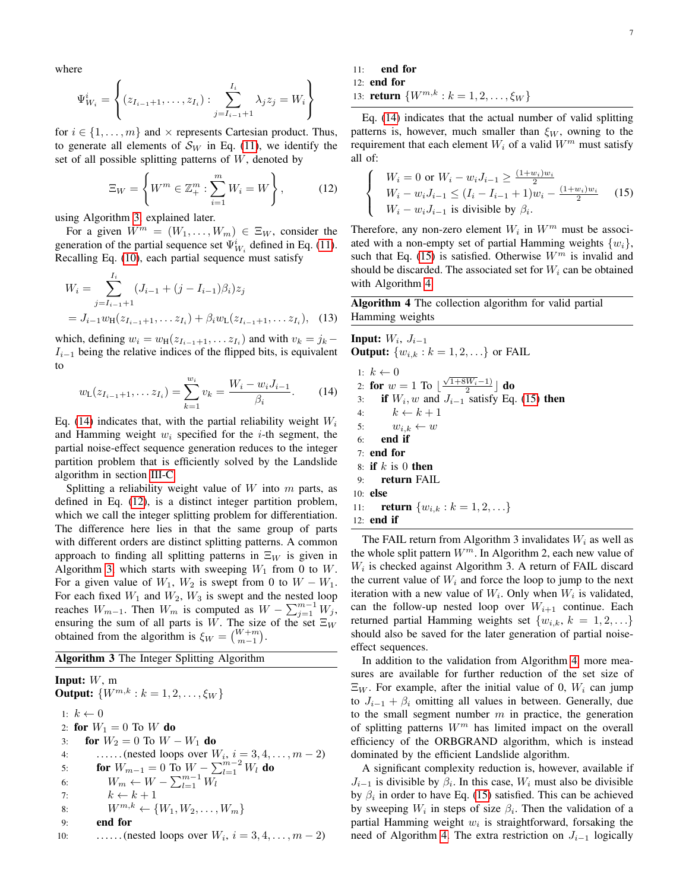where

$$
\Psi^i_{W_i} = \left\{ (z_{I_{i-1}+1}, \dots, z_{I_i}) : \sum_{j=I_{i-1}+1}^{I_i} \lambda_j z_j = W_i \right\}
$$

for  $i \in \{1, \ldots, m\}$  and  $\times$  represents Cartesian product. Thus, to generate all elements of  $\mathcal{S}_W$  in Eq. [\(11\)](#page-5-3), we identify the set of all possible splitting patterns of  $W$ , denoted by

$$
\Xi_W = \left\{ W^m \in \mathbb{Z}_+^m : \sum_{i=1}^m W_i = W \right\},\tag{12}
$$

using Algorithm [3,](#page-6-0) explained later.

For a given  $W^m = (W_1, \ldots, W_m) \in \Xi_W$ , consider the generation of the partial sequence set  $\Psi^i_{W_i}$  defined in Eq. [\(11\)](#page-5-3). Recalling Eq. [\(10\)](#page-5-2), each partial sequence must satisfy

$$
W_i = \sum_{j=I_{i-1}+1}^{I_i} (J_{i-1} + (j - I_{i-1})\beta_i) z_j
$$
  
=  $J_{i-1}w_{\text{H}}(z_{I_{i-1}+1}, \dots z_{I_i}) + \beta_i w_{\text{L}}(z_{I_{i-1}+1}, \dots z_{I_i}),$  (13)

which, defining  $w_i = w_H(z_{I_{i-1}+1}, \ldots z_{I_i})$  and with  $v_k = j_k I_{i-1}$  being the relative indices of the flipped bits, is equivalent to

$$
w_{\mathsf{L}}(z_{I_{i-1}+1},\ldots z_{I_i}) = \sum_{k=1}^{w_i} v_k = \frac{W_i - w_i J_{i-1}}{\beta_i}.
$$
 (14)

Eq. [\(14\)](#page-6-1) indicates that, with the partial reliability weight  $W_i$ and Hamming weight  $w_i$  specified for the *i*-th segment, the partial noise-effect sequence generation reduces to the integer partition problem that is efficiently solved by the Landslide algorithm in section [III-C.](#page-4-4)

Splitting a reliability weight value of  $W$  into  $m$  parts, as defined in Eq. [\(12\)](#page-6-2), is a distinct integer partition problem, which we call the integer splitting problem for differentiation. The difference here lies in that the same group of parts with different orders are distinct splitting patterns. A common approach to finding all splitting patterns in  $\Xi_W$  is given in Algorithm [3,](#page-6-0) which starts with sweeping  $W_1$  from 0 to W. For a given value of  $W_1$ ,  $W_2$  is swept from 0 to  $W - W_1$ . For each fixed  $W_1$  and  $W_2$ ,  $W_3$  is swept and the nested loop reaches  $W_{m-1}$ . Then  $W_m$  is computed as  $W - \sum_{j=1}^{m-1} W_j$ , ensuring the sum of all parts is W. The size of the set  $\Xi_W$ obtained from the algorithm is  $\xi_W = \binom{W+m}{m-1}$ .

<span id="page-6-0"></span>Algorithm 3 The Integer Splitting Algorithm

**Input:**  $W$ , m **Output:**  $\{W^{m,k}: k = 1, 2, ..., \xi_W\}$ 1:  $k \leftarrow 0$ 2: for  $W_1 = 0$  To W do 3: **for**  $W_2 = 0$  To  $W - W_1$  do 4: ......(nested loops over  $W_i$ ,  $i = 3, 4, ..., m - 2$ ) 5: **for**  $W_{m-1} = 0$  To  $W - \sum_{l=1}^{m-2} W_l$  do 6:  $W_m \leftarrow W - \sum_{l=1}^{m-1} W_l$ 7:  $k \leftarrow k + 1$ 8:  $W^{m,k} \leftarrow \{W_1, W_2, \ldots, W_m\}$ 9: end for 10: ......(nested loops over  $W_i$ ,  $i = 3, 4, ..., m - 2$ ) 11: end for

12: end for

13: **return**  $\{W^{m,k}: k = 1, 2, \ldots, \xi_W\}$ 

Eq. [\(14\)](#page-6-1) indicates that the actual number of valid splitting patterns is, however, much smaller than  $\xi_W$ , owning to the requirement that each element  $W_i$  of a valid  $W^m$  must satisfy all of:

<span id="page-6-3"></span><span id="page-6-2"></span>
$$
\begin{cases}\nW_i = 0 \text{ or } W_i - w_i J_{i-1} \ge \frac{(1+w_i)w_i}{2} \\
W_i - w_i J_{i-1} \le (I_i - I_{i-1} + 1)w_i - \frac{(1+w_i)w_i}{2} \\
W_i - w_i J_{i-1} \text{ is divisible by } \beta_i.\n\end{cases}
$$
\n(15)

Therefore, any non-zero element  $W_i$  in  $W^m$  must be associated with a non-empty set of partial Hamming weights  $\{w_i\}$ , such that Eq. [\(15\)](#page-6-3) is satisfied. Otherwise  $W<sup>m</sup>$  is invalid and should be discarded. The associated set for  $W_i$  can be obtained with Algorithm [4.](#page-6-4)

<span id="page-6-4"></span>Algorithm 4 The collection algorithm for valid partial Hamming weights

<span id="page-6-1"></span>Input:  $W_i$ ,  $J_{i-1}$ **Output:**  $\{w_{i,k} : k = 1, 2, ...\}$  or FAIL 1:  $k \leftarrow 0$ 1:  $\kappa \leftarrow 0$ <br>2: **for**  $w = 1$  To  $\lfloor \frac{\sqrt{1+8W_i}-1}{2} \rfloor$  **do** 3: if  $W_i$ , w and  $J_{i-1}$  satisfy Eq. [\(15\)](#page-6-3) then 4:  $k \leftarrow k + 1$ 5:  $w_{i,k} \leftarrow w$ 6: end if 7: end for 8: if  $k$  is 0 then 9: return FAIL 10: else 11: **return**  $\{w_{i,k} : k = 1, 2, ...\}$ 12: end if

The FAIL return from Algorithm 3 invalidates  $W_i$  as well as the whole split pattern  $W^m$ . In Algorithm 2, each new value of  $W_i$  is checked against Algorithm 3. A return of FAIL discard the current value of  $W_i$  and force the loop to jump to the next iteration with a new value of  $W_i$ . Only when  $W_i$  is validated, can the follow-up nested loop over  $W_{i+1}$  continue. Each returned partial Hamming weights set  $\{w_{i,k}, k = 1, 2, \ldots\}$ should also be saved for the later generation of partial noiseeffect sequences.

In addition to the validation from Algorithm [4,](#page-6-4) more measures are available for further reduction of the set size of  $\Xi_W$ . For example, after the initial value of 0,  $W_i$  can jump to  $J_{i-1} + \beta_i$  omitting all values in between. Generally, due to the small segment number  $m$  in practice, the generation of splitting patterns  $W<sup>m</sup>$  has limited impact on the overall efficiency of the ORBGRAND algorithm, which is instead dominated by the efficient Landslide algorithm.

A significant complexity reduction is, however, available if  $J_{i-1}$  is divisible by  $\beta_i$ . In this case,  $W_i$  must also be divisible by  $\beta_i$  in order to have Eq. [\(15\)](#page-6-3) satisfied. This can be achieved by sweeping  $W_i$  in steps of size  $\beta_i$ . Then the validation of a partial Hamming weight  $w_i$  is straightforward, forsaking the need of Algorithm [4.](#page-6-4) The extra restriction on  $J_{i-1}$  logically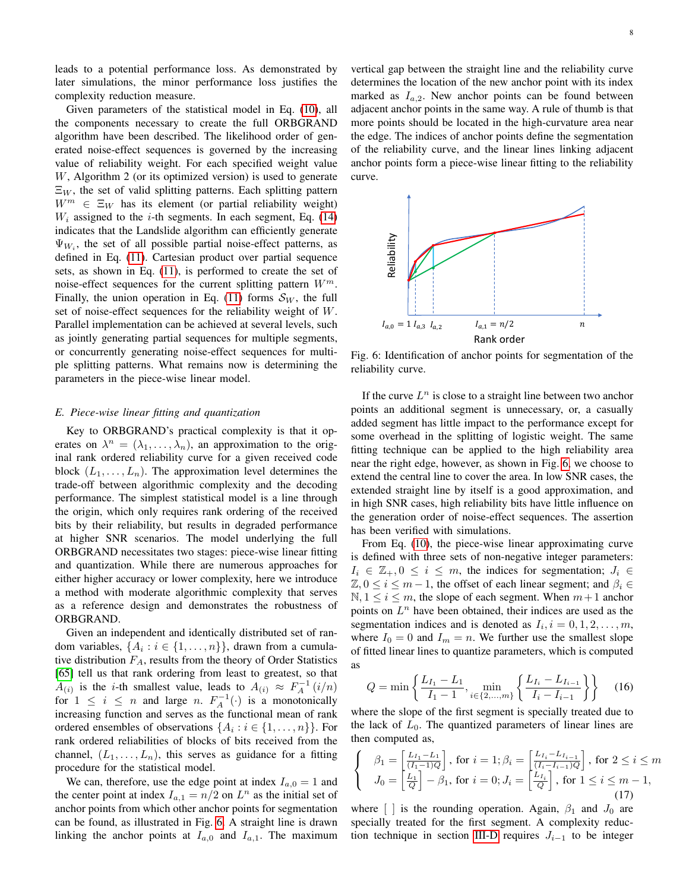leads to a potential performance loss. As demonstrated by later simulations, the minor performance loss justifies the complexity reduction measure.

Given parameters of the statistical model in Eq. [\(10\)](#page-5-2), all the components necessary to create the full ORBGRAND algorithm have been described. The likelihood order of generated noise-effect sequences is governed by the increasing value of reliability weight. For each specified weight value W, Algorithm 2 (or its optimized version) is used to generate  $\Xi_W$ , the set of valid splitting patterns. Each splitting pattern  $W^m \in \Xi_W$  has its element (or partial reliability weight)  $W_i$  assigned to the *i*-th segments. In each segment, Eq. [\(14\)](#page-6-1) indicates that the Landslide algorithm can efficiently generate  $\Psi_{W_i}$ , the set of all possible partial noise-effect patterns, as defined in Eq. [\(11\)](#page-5-3). Cartesian product over partial sequence sets, as shown in Eq. [\(11\)](#page-5-3), is performed to create the set of noise-effect sequences for the current splitting pattern  $W^m$ . Finally, the union operation in Eq. [\(11\)](#page-5-3) forms  $S_W$ , the full set of noise-effect sequences for the reliability weight of W. Parallel implementation can be achieved at several levels, such as jointly generating partial sequences for multiple segments, or concurrently generating noise-effect sequences for multiple splitting patterns. What remains now is determining the parameters in the piece-wise linear model.

## *E. Piece-wise linear fitting and quantization*

Key to ORBGRAND's practical complexity is that it operates on  $\lambda^n = (\lambda_1, \dots, \lambda_n)$ , an approximation to the original rank ordered reliability curve for a given received code block  $(L_1, \ldots, L_n)$ . The approximation level determines the trade-off between algorithmic complexity and the decoding performance. The simplest statistical model is a line through the origin, which only requires rank ordering of the received bits by their reliability, but results in degraded performance at higher SNR scenarios. The model underlying the full ORBGRAND necessitates two stages: piece-wise linear fitting and quantization. While there are numerous approaches for either higher accuracy or lower complexity, here we introduce a method with moderate algorithmic complexity that serves as a reference design and demonstrates the robustness of ORBGRAND.

Given an independent and identically distributed set of random variables,  $\{A_i : i \in \{1, ..., n\}\}$ , drawn from a cumulative distribution  $F_A$ , results from the theory of Order Statistics [\[65\]](#page-11-28) tell us that rank ordering from least to greatest, so that  $A_{(i)}$  is the *i*-th smallest value, leads to  $A_{(i)} \approx F_A^{-1}(i/n)$ for  $1 \leq i \leq n$  and large n.  $F_A^{-1}(\cdot)$  is a monotonically increasing function and serves as the functional mean of rank ordered ensembles of observations  $\{A_i : i \in \{1, ..., n\}\}\.$  For rank ordered reliabilities of blocks of bits received from the channel,  $(L_1, \ldots, L_n)$ , this serves as guidance for a fitting procedure for the statistical model.

We can, therefore, use the edge point at index  $I_{a,0} = 1$  and the center point at index  $I_{a,1} = n/2$  on  $L^n$  as the initial set of anchor points from which other anchor points for segmentation can be found, as illustrated in Fig. [6.](#page-7-0) A straight line is drawn linking the anchor points at  $I_{a,0}$  and  $I_{a,1}$ . The maximum vertical gap between the straight line and the reliability curve determines the location of the new anchor point with its index marked as  $I_{a,2}$ . New anchor points can be found between adjacent anchor points in the same way. A rule of thumb is that more points should be located in the high-curvature area near the edge. The indices of anchor points define the segmentation of the reliability curve, and the linear lines linking adjacent anchor points form a piece-wise linear fitting to the reliability curve.

<span id="page-7-0"></span>

Fig. 6: Identification of anchor points for segmentation of the reliability curve.

If the curve  $L^n$  is close to a straight line between two anchor points an additional segment is unnecessary, or, a casually added segment has little impact to the performance except for some overhead in the splitting of logistic weight. The same fitting technique can be applied to the high reliability area near the right edge, however, as shown in Fig. [6,](#page-7-0) we choose to extend the central line to cover the area. In low SNR cases, the extended straight line by itself is a good approximation, and in high SNR cases, high reliability bits have little influence on the generation order of noise-effect sequences. The assertion has been verified with simulations.

From Eq. [\(10\)](#page-5-2), the piece-wise linear approximating curve is defined with three sets of non-negative integer parameters:  $I_i \in \mathbb{Z}_+, 0 \leq i \leq m$ , the indices for segmentation;  $J_i \in$  $\mathbb{Z}, 0 \leq i \leq m-1$ , the offset of each linear segment; and  $\beta_i \in$  $N, 1 \leq i \leq m$ , the slope of each segment. When  $m+1$  anchor points on  $L^n$  have been obtained, their indices are used as the segmentation indices and is denoted as  $I_i$ ,  $i = 0, 1, 2, \ldots, m$ , where  $I_0 = 0$  and  $I_m = n$ . We further use the smallest slope of fitted linear lines to quantize parameters, which is computed as

$$
Q = \min\left\{\frac{L_{I_1} - L_1}{I_1 - 1}, \min_{i \in \{2, \dots, m\}} \left\{\frac{L_{I_i} - L_{I_{i-1}}}{I_i - I_{i-1}}\right\}\right\} \tag{16}
$$

where the slope of the first segment is specially treated due to the lack of  $L_0$ . The quantized parameters of linear lines are then computed as,

<span id="page-7-1"></span>
$$
\begin{cases}\n\beta_1 = \left[\frac{L_{I_1} - L_1}{(I_1 - 1)Q}\right], \text{ for } i = 1; \beta_i = \left[\frac{L_{I_i} - L_{I_{i-1}}}{(I_i - I_{i-1})Q}\right], \text{ for } 2 \le i \le m \\
J_0 = \left[\frac{L_1}{Q}\right] - \beta_1, \text{ for } i = 0; J_i = \left[\frac{L_{I_i}}{Q}\right], \text{ for } 1 \le i \le m - 1,\n\end{cases}
$$
\n(17)

where  $\begin{bmatrix} \end{bmatrix}$  is the rounding operation. Again,  $\beta_1$  and  $J_0$  are specially treated for the first segment. A complexity reduc-tion technique in section [III-D](#page-5-4) requires  $J_{i-1}$  to be integer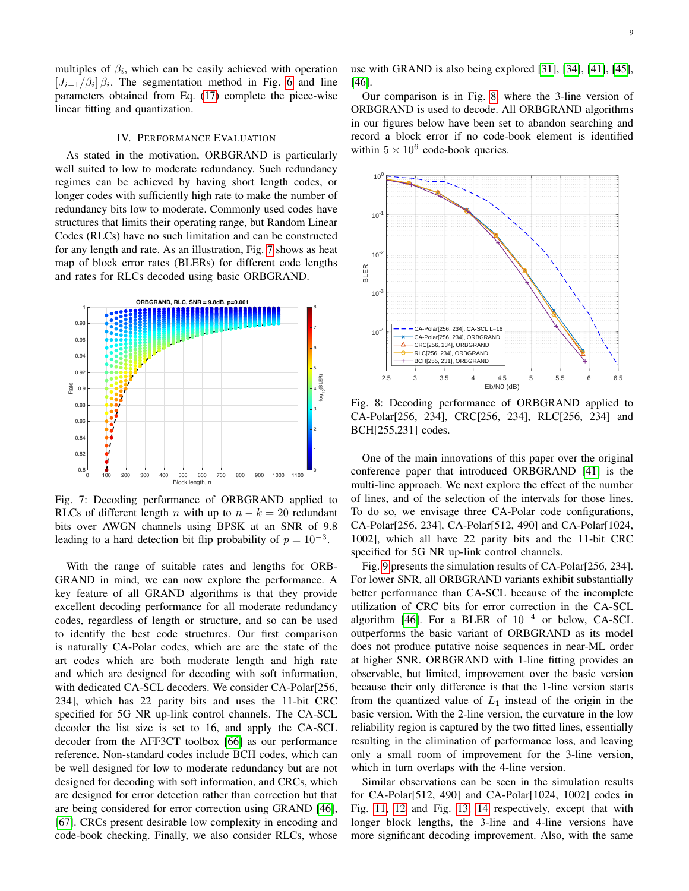multiples of  $\beta_i$ , which can be easily achieved with operation  $[J_{i-1}/\beta_i]$   $\beta_i$ . The segmentation method in Fig. [6](#page-7-0) and line parameters obtained from Eq. [\(17\)](#page-7-1) complete the piece-wise linear fitting and quantization.

## IV. PERFORMANCE EVALUATION

<span id="page-8-0"></span>As stated in the motivation, ORBGRAND is particularly well suited to low to moderate redundancy. Such redundancy regimes can be achieved by having short length codes, or longer codes with sufficiently high rate to make the number of redundancy bits low to moderate. Commonly used codes have structures that limits their operating range, but Random Linear Codes (RLCs) have no such limitation and can be constructed for any length and rate. As an illustration, Fig. [7](#page-8-1) shows as heat map of block error rates (BLERs) for different code lengths and rates for RLCs decoded using basic ORBGRAND.

<span id="page-8-1"></span>

Fig. 7: Decoding performance of ORBGRAND applied to RLCs of different length *n* with up to  $n - k = 20$  redundant bits over AWGN channels using BPSK at an SNR of 9.8 leading to a hard detection bit flip probability of  $p = 10^{-3}$ .

With the range of suitable rates and lengths for ORB-GRAND in mind, we can now explore the performance. A key feature of all GRAND algorithms is that they provide excellent decoding performance for all moderate redundancy codes, regardless of length or structure, and so can be used to identify the best code structures. Our first comparison is naturally CA-Polar codes, which are are the state of the art codes which are both moderate length and high rate and which are designed for decoding with soft information, with dedicated CA-SCL decoders. We consider CA-Polar[256, 234], which has 22 parity bits and uses the 11-bit CRC specified for 5G NR up-link control channels. The CA-SCL decoder the list size is set to 16, and apply the CA-SCL decoder from the AFF3CT toolbox [\[66\]](#page-11-29) as our performance reference. Non-standard codes include BCH codes, which can be well designed for low to moderate redundancy but are not designed for decoding with soft information, and CRCs, which are designed for error detection rather than correction but that are being considered for error correction using GRAND [\[46\]](#page-11-16), [\[67\]](#page-11-30). CRCs present desirable low complexity in encoding and code-book checking. Finally, we also consider RLCs, whose

use with GRAND is also being explored [\[31\]](#page-11-3), [\[34\]](#page-11-6), [\[41\]](#page-11-12), [\[45\]](#page-11-15), [\[46\]](#page-11-16).

Our comparison is in Fig. [8,](#page-8-2) where the 3-line version of ORBGRAND is used to decode. All ORBGRAND algorithms in our figures below have been set to abandon searching and record a block error if no code-book element is identified within  $5 \times 10^6$  code-book queries.

<span id="page-8-2"></span>

Fig. 8: Decoding performance of ORBGRAND applied to CA-Polar[256, 234], CRC[256, 234], RLC[256, 234] and BCH[255,231] codes.

One of the main innovations of this paper over the original conference paper that introduced ORBGRAND [\[41\]](#page-11-12) is the multi-line approach. We next explore the effect of the number of lines, and of the selection of the intervals for those lines. To do so, we envisage three CA-Polar code configurations, CA-Polar[256, 234], CA-Polar[512, 490] and CA-Polar[1024, 1002], which all have 22 parity bits and the 11-bit CRC specified for 5G NR up-link control channels.

Fig. [9](#page-9-1) presents the simulation results of CA-Polar[256, 234]. For lower SNR, all ORBGRAND variants exhibit substantially better performance than CA-SCL because of the incomplete utilization of CRC bits for error correction in the CA-SCL algorithm [\[46\]](#page-11-16). For a BLER of  $10^{-4}$  or below, CA-SCL outperforms the basic variant of ORBGRAND as its model does not produce putative noise sequences in near-ML order at higher SNR. ORBGRAND with 1-line fitting provides an observable, but limited, improvement over the basic version because their only difference is that the 1-line version starts from the quantized value of  $L_1$  instead of the origin in the basic version. With the 2-line version, the curvature in the low reliability region is captured by the two fitted lines, essentially resulting in the elimination of performance loss, and leaving only a small room of improvement for the 3-line version, which in turn overlaps with the 4-line version.

Similar observations can be seen in the simulation results for CA-Polar[512, 490] and CA-Polar[1024, 1002] codes in Fig. [11,](#page-9-2) [12](#page-9-3) and Fig. [13,](#page-10-16) [14](#page-10-17) respectively, except that with longer block lengths, the 3-line and 4-line versions have more significant decoding improvement. Also, with the same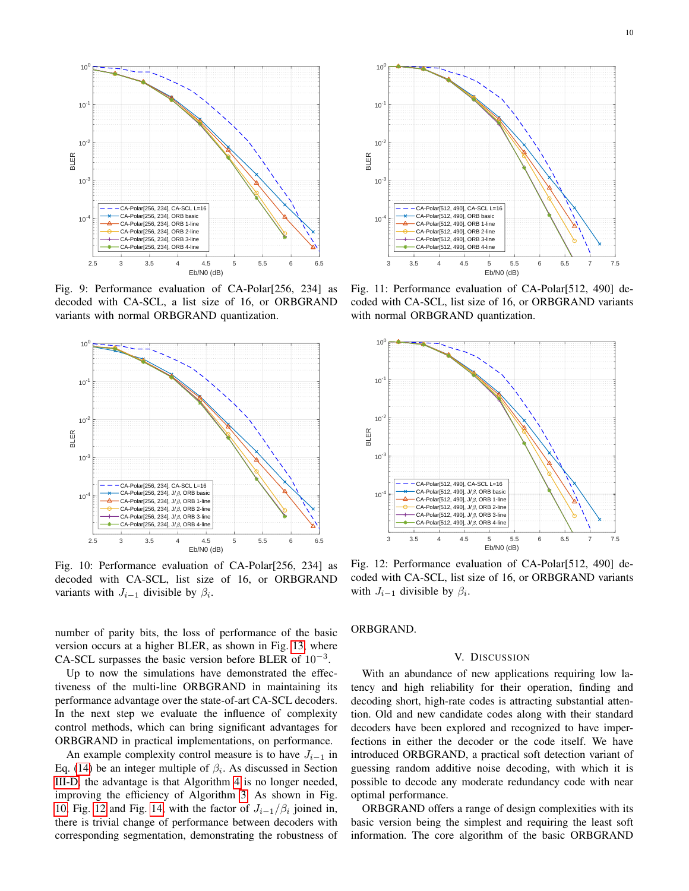<span id="page-9-1"></span>

Fig. 9: Performance evaluation of CA-Polar[256, 234] as decoded with CA-SCL, a list size of 16, or ORBGRAND variants with normal ORBGRAND quantization.

<span id="page-9-4"></span>

Fig. 10: Performance evaluation of CA-Polar[256, 234] as decoded with CA-SCL, list size of 16, or ORBGRAND variants with  $J_{i-1}$  divisible by  $\beta_i$ .

number of parity bits, the loss of performance of the basic version occurs at a higher BLER, as shown in Fig. [13,](#page-10-16) where CA-SCL surpasses the basic version before BLER of  $10^{-3}$ .

Up to now the simulations have demonstrated the effectiveness of the multi-line ORBGRAND in maintaining its performance advantage over the state-of-art CA-SCL decoders. In the next step we evaluate the influence of complexity control methods, which can bring significant advantages for ORBGRAND in practical implementations, on performance.

An example complexity control measure is to have  $J_{i-1}$  in Eq. [\(14\)](#page-6-1) be an integer multiple of  $\beta_i$ . As discussed in Section [III-D,](#page-5-4) the advantage is that Algorithm [4](#page-6-4) is no longer needed, improving the efficiency of Algorithm [3.](#page-6-0) As shown in Fig. [10,](#page-9-4) Fig. [12](#page-9-3) and Fig. [14,](#page-10-17) with the factor of  $J_{i-1}/\beta_i$  joined in, there is trivial change of performance between decoders with corresponding segmentation, demonstrating the robustness of

<span id="page-9-2"></span>

Fig. 11: Performance evaluation of CA-Polar[512, 490] decoded with CA-SCL, list size of 16, or ORBGRAND variants with normal ORBGRAND quantization.

<span id="page-9-3"></span>

Fig. 12: Performance evaluation of CA-Polar[512, 490] decoded with CA-SCL, list size of 16, or ORBGRAND variants with  $J_{i-1}$  divisible by  $\beta_i$ .

ORBGRAND.

# V. DISCUSSION

<span id="page-9-0"></span>With an abundance of new applications requiring low latency and high reliability for their operation, finding and decoding short, high-rate codes is attracting substantial attention. Old and new candidate codes along with their standard decoders have been explored and recognized to have imperfections in either the decoder or the code itself. We have introduced ORBGRAND, a practical soft detection variant of guessing random additive noise decoding, with which it is possible to decode any moderate redundancy code with near optimal performance.

ORBGRAND offers a range of design complexities with its basic version being the simplest and requiring the least soft information. The core algorithm of the basic ORBGRAND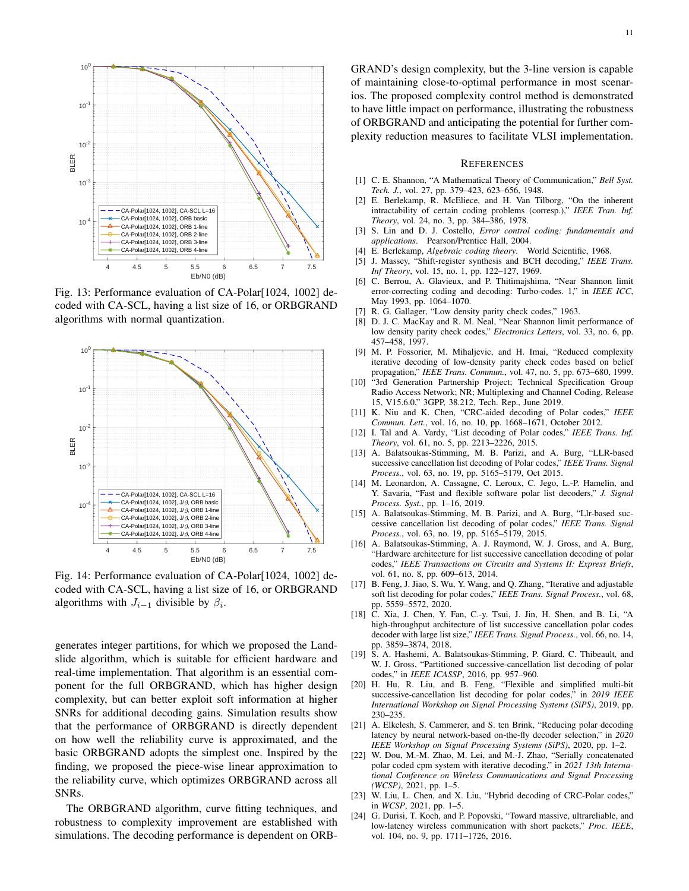<span id="page-10-16"></span>

Fig. 13: Performance evaluation of CA-Polar[1024, 1002] decoded with CA-SCL, having a list size of 16, or ORBGRAND algorithms with normal quantization.

<span id="page-10-17"></span>

Fig. 14: Performance evaluation of CA-Polar[1024, 1002] decoded with CA-SCL, having a list size of 16, or ORBGRAND algorithms with  $J_{i-1}$  divisible by  $\beta_i$ .

generates integer partitions, for which we proposed the Landslide algorithm, which is suitable for efficient hardware and real-time implementation. That algorithm is an essential component for the full ORBGRAND, which has higher design complexity, but can better exploit soft information at higher SNRs for additional decoding gains. Simulation results show that the performance of ORBGRAND is directly dependent on how well the reliability curve is approximated, and the basic ORBGRAND adopts the simplest one. Inspired by the finding, we proposed the piece-wise linear approximation to the reliability curve, which optimizes ORBGRAND across all SNRs.

The ORBGRAND algorithm, curve fitting techniques, and robustness to complexity improvement are established with simulations. The decoding performance is dependent on ORB- GRAND's design complexity, but the 3-line version is capable of maintaining close-to-optimal performance in most scenarios. The proposed complexity control method is demonstrated to have little impact on performance, illustrating the robustness of ORBGRAND and anticipating the potential for further complexity reduction measures to facilitate VLSI implementation.

#### **REFERENCES**

- <span id="page-10-0"></span>[1] C. E. Shannon, "A Mathematical Theory of Communication," *Bell Syst. Tech. J.*, vol. 27, pp. 379–423, 623–656, 1948.
- <span id="page-10-1"></span>[2] E. Berlekamp, R. McEliece, and H. Van Tilborg, "On the inherent intractability of certain coding problems (corresp.)," *IEEE Tran. Inf. Theory*, vol. 24, no. 3, pp. 384–386, 1978.
- <span id="page-10-2"></span>[3] S. Lin and D. J. Costello, *Error control coding: fundamentals and applications*. Pearson/Prentice Hall, 2004.
- <span id="page-10-3"></span>[4] E. Berlekamp, *Algebraic coding theory*. World Scientific, 1968.
- <span id="page-10-4"></span>[5] J. Massey, "Shift-register synthesis and BCH decoding," *IEEE Trans. Inf Theory*, vol. 15, no. 1, pp. 122–127, 1969.
- <span id="page-10-5"></span>[6] C. Berrou, A. Glavieux, and P. Thitimajshima, "Near Shannon limit error-correcting coding and decoding: Turbo-codes. 1," in *IEEE ICC*, May 1993, pp. 1064–1070.
- <span id="page-10-6"></span>[7] R. G. Gallager, "Low density parity check codes," 1963.
- <span id="page-10-7"></span>[8] D. J. C. MacKay and R. M. Neal, "Near Shannon limit performance of low density parity check codes," *Electronics Letters*, vol. 33, no. 6, pp. 457–458, 1997.
- <span id="page-10-8"></span>[9] M. P. Fossorier, M. Mihaljevic, and H. Imai, "Reduced complexity iterative decoding of low-density parity check codes based on belief propagation," *IEEE Trans. Commun.*, vol. 47, no. 5, pp. 673–680, 1999.
- <span id="page-10-9"></span>[10] "3rd Generation Partnership Project; Technical Specification Group Radio Access Network; NR; Multiplexing and Channel Coding, Release 15, V15.6.0," 3GPP, 38.212, Tech. Rep., June 2019.
- <span id="page-10-10"></span>[11] K. Niu and K. Chen, "CRC-aided decoding of Polar codes," *IEEE Commun. Lett.*, vol. 16, no. 10, pp. 1668–1671, October 2012.
- [12] I. Tal and A. Vardy, "List decoding of Polar codes," *IEEE Trans. Inf. Theory*, vol. 61, no. 5, pp. 2213–2226, 2015.
- [13] A. Balatsoukas-Stimming, M. B. Parizi, and A. Burg, "LLR-based successive cancellation list decoding of Polar codes," *IEEE Trans. Signal Process.*, vol. 63, no. 19, pp. 5165–5179, Oct 2015.
- <span id="page-10-15"></span>[14] M. Leonardon, A. Cassagne, C. Leroux, C. Jego, L.-P. Hamelin, and Y. Savaria, "Fast and flexible software polar list decoders," *J. Signal Process. Syst.*, pp. 1–16, 2019.
- [15] A. Balatsoukas-Stimming, M. B. Parizi, and A. Burg, "Llr-based successive cancellation list decoding of polar codes," *IEEE Trans. Signal Process.*, vol. 63, no. 19, pp. 5165–5179, 2015.
- [16] A. Balatsoukas-Stimming, A. J. Raymond, W. J. Gross, and A. Burg, "Hardware architecture for list successive cancellation decoding of polar codes," *IEEE Transactions on Circuits and Systems II: Express Briefs*, vol. 61, no. 8, pp. 609–613, 2014.
- [17] B. Feng, J. Jiao, S. Wu, Y. Wang, and Q. Zhang, "Iterative and adjustable soft list decoding for polar codes," *IEEE Trans. Signal Process.*, vol. 68, pp. 5559–5572, 2020.
- [18] C. Xia, J. Chen, Y. Fan, C.-y. Tsui, J. Jin, H. Shen, and B. Li, "A high-throughput architecture of list successive cancellation polar codes decoder with large list size," *IEEE Trans. Signal Process.*, vol. 66, no. 14, pp. 3859–3874, 2018.
- [19] S. A. Hashemi, A. Balatsoukas-Stimming, P. Giard, C. Thibeault, and W. J. Gross, "Partitioned successive-cancellation list decoding of polar codes," in *IEEE ICASSP*, 2016, pp. 957–960.
- <span id="page-10-11"></span>[20] H. Hu, R. Liu, and B. Feng, "Flexible and simplified multi-bit successive-cancellation list decoding for polar codes," in *2019 IEEE International Workshop on Signal Processing Systems (SiPS)*, 2019, pp. 230–235.
- <span id="page-10-12"></span>[21] A. Elkelesh, S. Cammerer, and S. ten Brink, "Reducing polar decoding latency by neural network-based on-the-fly decoder selection," in *2020 IEEE Workshop on Signal Processing Systems (SiPS)*, 2020, pp. 1–2.
- [22] W. Dou, M.-M. Zhao, M. Lei, and M.-J. Zhao, "Serially concatenated polar coded cpm system with iterative decoding," in *2021 13th International Conference on Wireless Communications and Signal Processing (WCSP)*, 2021, pp. 1–5.
- <span id="page-10-13"></span>[23] W. Liu, L. Chen, and X. Liu, "Hybrid decoding of CRC-Polar codes," in *WCSP*, 2021, pp. 1–5.
- <span id="page-10-14"></span>[24] G. Durisi, T. Koch, and P. Popovski, "Toward massive, ultrareliable, and low-latency wireless communication with short packets," *Proc. IEEE*, vol. 104, no. 9, pp. 1711–1726, 2016.